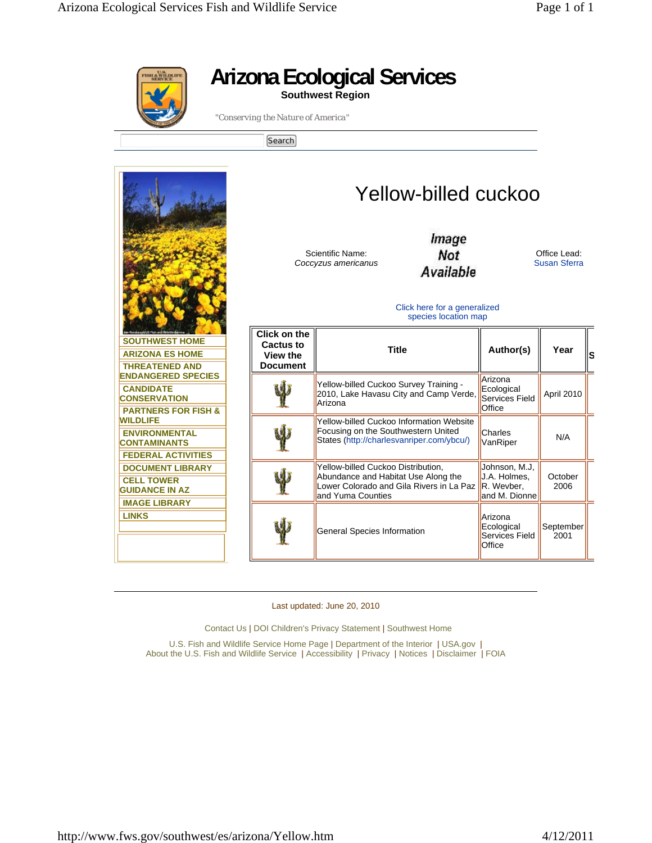|                                                                                                        | "Conserving the Nature of America"<br>Search                                                 | <b>Arizona Ecological Services</b><br><b>Southwest Region</b>                                                                              |                                                              |                                     |    |
|--------------------------------------------------------------------------------------------------------|----------------------------------------------------------------------------------------------|--------------------------------------------------------------------------------------------------------------------------------------------|--------------------------------------------------------------|-------------------------------------|----|
|                                                                                                        | Yellow-billed cuckoo<br>Image<br>Not<br>Scientific Name:<br>Coccyzus americanus<br>Available |                                                                                                                                            |                                                              | Office Lead:<br><b>Susan Sferra</b> |    |
|                                                                                                        | Click here for a generalized<br>species location map                                         |                                                                                                                                            |                                                              |                                     |    |
| <b>SOUTHWEST HOME</b><br><b>ARIZONA ES HOME</b><br><b>THREATENED AND</b>                               | <b>Click on the</b><br>Cactus to<br>View the<br><b>Document</b>                              | <b>Title</b>                                                                                                                               | Author(s)                                                    | Year                                | lS |
| <b>ENDANGERED SPECIES</b><br><b>CANDIDATE</b><br><b>CONSERVATION</b><br><b>PARTNERS FOR FISH &amp;</b> |                                                                                              | Yellow-billed Cuckoo Survey Training -<br>2010, Lake Havasu City and Camp Verde,<br>Arizona                                                | Arizona<br>Ecological<br><b>Services Field</b><br>Office     | April 2010                          |    |
| <b>WILDLIFE</b><br><b>ENVIRONMENTAL</b><br><b>CONTAMINANTS</b><br><b>FEDERAL ACTIVITIES</b>            |                                                                                              | <b>Yellow-billed Cuckoo Information Website</b><br>Focusing on the Southwestern United<br>States (http://charlesvanriper.com/ybcu/)        | Charles<br>VanRiper                                          | N/A                                 |    |
| <b>DOCUMENT LIBRARY</b><br><b>CELL TOWER</b><br><b>GUIDANCE IN AZ</b>                                  |                                                                                              | Yellow-billed Cuckoo Distribution,<br>Abundance and Habitat Use Along the<br>Lower Colorado and Gila Rivers in La Paz<br>and Yuma Counties | Johnson, M.J,<br>J.A. Holmes,<br>R. Wevber.<br>and M. Dionne | October<br>2006                     |    |
| <b>IMAGE LIBRARY</b><br><b>LINKS</b>                                                                   |                                                                                              | General Species Information                                                                                                                | Arizona<br>Ecological<br><b>Services Field</b><br>Office     | September<br>2001                   |    |

Last updated: June 20, 2010

Contact Us | DOI Children's Privacy Statement | Southwest Home

U.S. Fish and Wildlife Service Home Page | Department of the Interior | USA.gov | About the U.S. Fish and Wildlife Service | Accessibility | Privacy | Notices | Disclaimer | FOIA